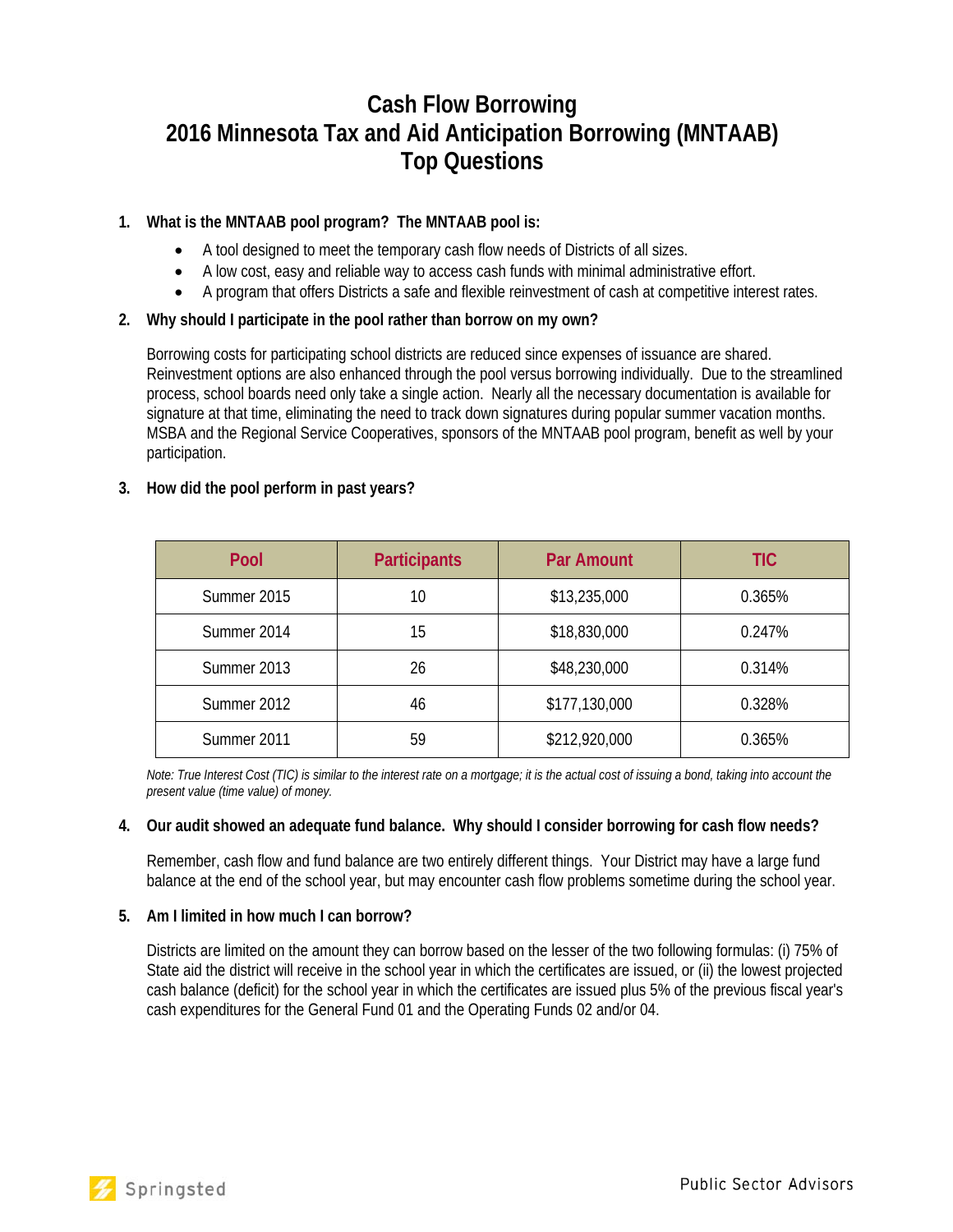# **Cash Flow Borrowing 2016 Minnesota Tax and Aid Anticipation Borrowing (MNTAAB) Top Questions**

# **1. What is the MNTAAB pool program? The MNTAAB pool is:**

- A tool designed to meet the temporary cash flow needs of Districts of all sizes.
- A low cost, easy and reliable way to access cash funds with minimal administrative effort.
- A program that offers Districts a safe and flexible reinvestment of cash at competitive interest rates.

# **2. Why should I participate in the pool rather than borrow on my own?**

Borrowing costs for participating school districts are reduced since expenses of issuance are shared. Reinvestment options are also enhanced through the pool versus borrowing individually. Due to the streamlined process, school boards need only take a single action. Nearly all the necessary documentation is available for signature at that time, eliminating the need to track down signatures during popular summer vacation months. MSBA and the Regional Service Cooperatives, sponsors of the MNTAAB pool program, benefit as well by your participation.

# **3. How did the pool perform in past years?**

| Pool        | <b>Participants</b> | <b>Par Amount</b> | <b>TIC</b> |
|-------------|---------------------|-------------------|------------|
| Summer 2015 | 10                  | \$13,235,000      | 0.365%     |
| Summer 2014 | 15                  | \$18,830,000      | 0.247%     |
| Summer 2013 | 26                  | \$48,230,000      | 0.314%     |
| Summer 2012 | 46                  | \$177,130,000     | 0.328%     |
| Summer 2011 | 59                  | \$212,920,000     | 0.365%     |

*Note: True Interest Cost (TIC) is similar to the interest rate on a mortgage; it is the actual cost of issuing a bond, taking into account the present value (time value) of money.* 

## **4. Our audit showed an adequate fund balance. Why should I consider borrowing for cash flow needs?**

Remember, cash flow and fund balance are two entirely different things. Your District may have a large fund balance at the end of the school year, but may encounter cash flow problems sometime during the school year.

## **5. Am I limited in how much I can borrow?**

Districts are limited on the amount they can borrow based on the lesser of the two following formulas: (i) 75% of State aid the district will receive in the school year in which the certificates are issued, or (ii) the lowest projected cash balance (deficit) for the school year in which the certificates are issued plus 5% of the previous fiscal year's cash expenditures for the General Fund 01 and the Operating Funds 02 and/or 04.